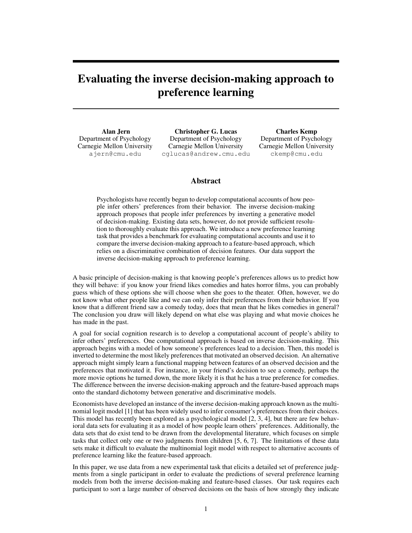# Evaluating the inverse decision-making approach to preference learning

Alan Jern Department of Psychology Carnegie Mellon University ajern@cmu.edu

Christopher G. Lucas Department of Psychology Carnegie Mellon University cglucas@andrew.cmu.edu

Charles Kemp Department of Psychology Carnegie Mellon University ckemp@cmu.edu

## Abstract

Psychologists have recently begun to develop computational accounts of how people infer others' preferences from their behavior. The inverse decision-making approach proposes that people infer preferences by inverting a generative model of decision-making. Existing data sets, however, do not provide sufficient resolution to thoroughly evaluate this approach. We introduce a new preference learning task that provides a benchmark for evaluating computational accounts and use it to compare the inverse decision-making approach to a feature-based approach, which relies on a discriminative combination of decision features. Our data support the inverse decision-making approach to preference learning.

A basic principle of decision-making is that knowing people's preferences allows us to predict how they will behave: if you know your friend likes comedies and hates horror films, you can probably guess which of these options she will choose when she goes to the theater. Often, however, we do not know what other people like and we can only infer their preferences from their behavior. If you know that a different friend saw a comedy today, does that mean that he likes comedies in general? The conclusion you draw will likely depend on what else was playing and what movie choices he has made in the past.

A goal for social cognition research is to develop a computational account of people's ability to infer others' preferences. One computational approach is based on inverse decision-making. This approach begins with a model of how someone's preferences lead to a decision. Then, this model is inverted to determine the most likely preferences that motivated an observed decision. An alternative approach might simply learn a functional mapping between features of an observed decision and the preferences that motivated it. For instance, in your friend's decision to see a comedy, perhaps the more movie options he turned down, the more likely it is that he has a true preference for comedies. The difference between the inverse decision-making approach and the feature-based approach maps onto the standard dichotomy between generative and discriminative models.

Economists have developed an instance of the inverse decision-making approach known as the multinomial logit model [1] that has been widely used to infer consumer's preferences from their choices. This model has recently been explored as a psychological model [2, 3, 4], but there are few behavioral data sets for evaluating it as a model of how people learn others' preferences. Additionally, the data sets that do exist tend to be drawn from the developmental literature, which focuses on simple tasks that collect only one or two judgments from children [5, 6, 7]. The limitations of these data sets make it difficult to evaluate the multinomial logit model with respect to alternative accounts of preference learning like the feature-based approach.

In this paper, we use data from a new experimental task that elicits a detailed set of preference judgments from a single participant in order to evaluate the predictions of several preference learning models from both the inverse decision-making and feature-based classes. Our task requires each participant to sort a large number of observed decisions on the basis of how strongly they indicate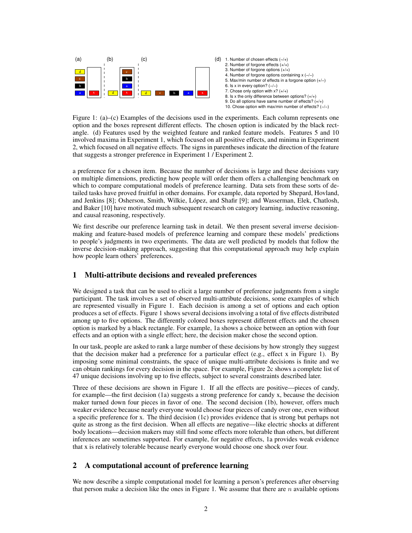

Figure 1: (a)–(c) Examples of the decisions used in the experiments. Each column represents one option and the boxes represent different effects. The chosen option is indicated by the black rectangle. (d) Features used by the weighted feature and ranked feature models. Features 5 and 10 involved maxima in Experiment 1, which focused on all positive effects, and minima in Experiment 2, which focused on all negative effects. The signs in parentheses indicate the direction of the feature that suggests a stronger preference in Experiment 1 / Experiment 2.

a preference for a chosen item. Because the number of decisions is large and these decisions vary on multiple dimensions, predicting how people will order them offers a challenging benchmark on which to compare computational models of preference learning. Data sets from these sorts of detailed tasks have proved fruitful in other domains. For example, data reported by Shepard, Hovland, and Jenkins [8]; Osherson, Smith, Wilkie, López, and Shafir [9]; and Wasserman, Elek, Chatlosh, and Baker [10] have motivated much subsequent research on category learning, inductive reasoning, and causal reasoning, respectively.

We first describe our preference learning task in detail. We then present several inverse decisionmaking and feature-based models of preference learning and compare these models' predictions to people's judgments in two experiments. The data are well predicted by models that follow the inverse decision-making approach, suggesting that this computational approach may help explain how people learn others' preferences.

# 1 Multi-attribute decisions and revealed preferences

We designed a task that can be used to elicit a large number of preference judgments from a single participant. The task involves a set of observed multi-attribute decisions, some examples of which are represented visually in Figure 1. Each decision is among a set of options and each option produces a set of effects. Figure 1 shows several decisions involving a total of five effects distributed among up to five options. The differently colored boxes represent different effects and the chosen option is marked by a black rectangle. For example, 1a shows a choice between an option with four effects and an option with a single effect; here, the decision maker chose the second option.

In our task, people are asked to rank a large number of these decisions by how strongly they suggest that the decision maker had a preference for a particular effect (e.g., effect x in Figure 1). By imposing some minimal constraints, the space of unique multi-attribute decisions is finite and we can obtain rankings for every decision in the space. For example, Figure 2c shows a complete list of 47 unique decisions involving up to five effects, subject to several constraints described later.

Three of these decisions are shown in Figure 1. If all the effects are positive—pieces of candy, for example—the first decision (1a) suggests a strong preference for candy x, because the decision maker turned down four pieces in favor of one. The second decision (1b), however, offers much weaker evidence because nearly everyone would choose four pieces of candy over one, even without a specific preference for x. The third decision (1c) provides evidence that is strong but perhaps not quite as strong as the first decision. When all effects are negative—like electric shocks at different body locations—decision makers may still find some effects more tolerable than others, but different inferences are sometimes supported. For example, for negative effects, 1a provides weak evidence that x is relatively tolerable because nearly everyone would choose one shock over four.

# 2 A computational account of preference learning

We now describe a simple computational model for learning a person's preferences after observing that person make a decision like the ones in Figure 1. We assume that there are  $n$  available options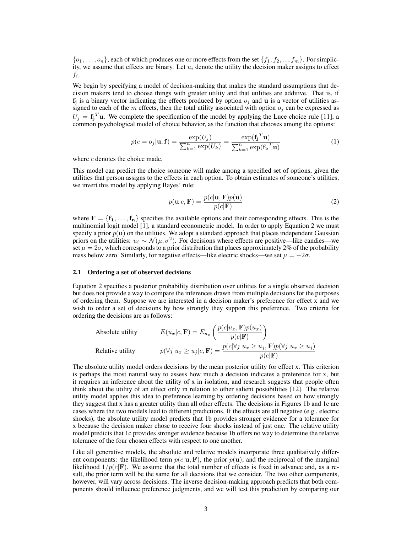${o_1, \ldots, o_n}$ , each of which produces one or more effects from the set  ${f_1, f_2, \ldots, f_m}$ . For simplicity, we assume that effects are binary. Let  $u_i$  denote the utility the decision maker assigns to effect  $f_i$ .

We begin by specifying a model of decision-making that makes the standard assumptions that decision makers tend to choose things with greater utility and that utilities are additive. That is, if  $f_j$  is a binary vector indicating the effects produced by option  $o_j$  and u is a vector of utilities assigned to each of the m effects, then the total utility associated with option  $o_j$  can be expressed as  $U_j = \mathbf{f_j}^T \mathbf{u}$ . We complete the specification of the model by applying the Luce choice rule [11], a common psychological model of choice behavior, as the function that chooses among the options:

$$
p(c = o_j | \mathbf{u}, \mathbf{f}) = \frac{\exp(U_j)}{\sum_{k=1}^n \exp(U_k)} = \frac{\exp(\mathbf{f_j}^T \mathbf{u})}{\sum_{k=1}^n \exp(\mathbf{f_k}^T \mathbf{u})}
$$
(1)

where  $c$  denotes the choice made.

This model can predict the choice someone will make among a specified set of options, given the utilities that person assigns to the effects in each option. To obtain estimates of someone's utilities, we invert this model by applying Bayes' rule:

$$
p(\mathbf{u}|c, \mathbf{F}) = \frac{p(c|\mathbf{u}, \mathbf{F})p(\mathbf{u})}{p(c|\mathbf{F})}
$$
(2)

where  $F = \{f_1, \ldots, f_n\}$  specifies the available options and their corresponding effects. This is the multinomial logit model [1], a standard econometric model. In order to apply Equation 2 we must specify a prior  $p(u)$  on the utilities. We adopt a standard approach that places independent Gaussian priors on the utilities:  $u_i \sim \mathcal{N}(\mu, \sigma^2)$ . For decisions where effects are positive—like candies—we set  $\mu = 2\sigma$ , which corresponds to a prior distribution that places approximately 2% of the probability mass below zero. Similarly, for negative effects—like electric shocks—we set  $\mu = -2\sigma$ .

#### 2.1 Ordering a set of observed decisions

Equation 2 specifies a posterior probability distribution over utilities for a single observed decision but does not provide a way to compare the inferences drawn from multiple decisions for the purposes of ordering them. Suppose we are interested in a decision maker's preference for effect x and we wish to order a set of decisions by how strongly they support this preference. Two criteria for ordering the decisions are as follows:

Absolute utility

\n
$$
E(u_x|c, \mathbf{F}) = E_{u_x} \left( \frac{p(c|u_x, \mathbf{F})p(u_x)}{p(c|\mathbf{F})} \right)
$$
\nRelative utility

\n
$$
p(\forall j \ u_x \ge u_j|c, \mathbf{F}) = \frac{p(c|\forall j \ u_x \ge u_j, \mathbf{F})p(\forall j \ u_x \ge u_j)}{p(c|\mathbf{F})}
$$

The absolute utility model orders decisions by the mean posterior utility for effect x. This criterion is perhaps the most natural way to assess how much a decision indicates a preference for x, but it requires an inference about the utility of x in isolation, and research suggests that people often think about the utility of an effect only in relation to other salient possibilities [12]. The relative utility model applies this idea to preference learning by ordering decisions based on how strongly they suggest that x has a greater utility than all other effects. The decisions in Figures 1b and 1c are cases where the two models lead to different predictions. If the effects are all negative (e.g., electric shocks), the absolute utility model predicts that 1b provides stronger evidence for a tolerance for x because the decision maker chose to receive four shocks instead of just one. The relative utility model predicts that 1c provides stronger evidence because 1b offers no way to determine the relative tolerance of the four chosen effects with respect to one another.

Like all generative models, the absolute and relative models incorporate three qualitatively different components: the likelihood term  $p(c|\mathbf{u}, \mathbf{F})$ , the prior  $p(\mathbf{u})$ , and the reciprocal of the marginal likelihood  $1/p(c|\mathbf{F})$ . We assume that the total number of effects is fixed in advance and, as a result, the prior term will be the same for all decisions that we consider. The two other components, however, will vary across decisions. The inverse decision-making approach predicts that both components should influence preference judgments, and we will test this prediction by comparing our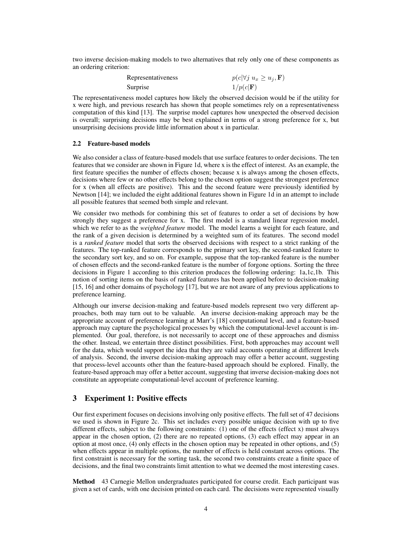two inverse decision-making models to two alternatives that rely only one of these components as an ordering criterion:

| Representativeness | $p(c \forall j \ u_x \geq u_j, \mathbf{F})$ |
|--------------------|---------------------------------------------|
| Surprise           | $1/p(c \mathbf{F})$                         |

The representativeness model captures how likely the observed decision would be if the utility for x were high, and previous research has shown that people sometimes rely on a representativeness computation of this kind [13]. The surprise model captures how unexpected the observed decision is overall; surprising decisions may be best explained in terms of a strong preference for x, but unsurprising decisions provide little information about x in particular.

#### 2.2 Feature-based models

We also consider a class of feature-based models that use surface features to order decisions. The ten features that we consider are shown in Figure 1d, where x is the effect of interest. As an example, the first feature specifies the number of effects chosen; because x is always among the chosen effects, decisions where few or no other effects belong to the chosen option suggest the strongest preference for x (when all effects are positive). This and the second feature were previously identified by Newtson [14]; we included the eight additional features shown in Figure 1d in an attempt to include all possible features that seemed both simple and relevant.

We consider two methods for combining this set of features to order a set of decisions by how strongly they suggest a preference for x. The first model is a standard linear regression model, which we refer to as the *weighted feature* model. The model learns a weight for each feature, and the rank of a given decision is determined by a weighted sum of its features. The second model is a *ranked feature* model that sorts the observed decisions with respect to a strict ranking of the features. The top-ranked feature corresponds to the primary sort key, the second-ranked feature to the secondary sort key, and so on. For example, suppose that the top-ranked feature is the number of chosen effects and the second-ranked feature is the number of forgone options. Sorting the three decisions in Figure 1 according to this criterion produces the following ordering: 1a,1c,1b. This notion of sorting items on the basis of ranked features has been applied before to decision-making [15, 16] and other domains of psychology [17], but we are not aware of any previous applications to preference learning.

Although our inverse decision-making and feature-based models represent two very different approaches, both may turn out to be valuable. An inverse decision-making approach may be the appropriate account of preference learning at Marr's [18] computational level, and a feature-based approach may capture the psychological processes by which the computational-level account is implemented. Our goal, therefore, is not necessarily to accept one of these approaches and dismiss the other. Instead, we entertain three distinct possibilities. First, both approaches may account well for the data, which would support the idea that they are valid accounts operating at different levels of analysis. Second, the inverse decision-making approach may offer a better account, suggesting that process-level accounts other than the feature-based approach should be explored. Finally, the feature-based approach may offer a better account, suggesting that inverse decision-making does not constitute an appropriate computational-level account of preference learning.

## 3 Experiment 1: Positive effects

Our first experiment focuses on decisions involving only positive effects. The full set of 47 decisions we used is shown in Figure 2c. This set includes every possible unique decision with up to five different effects, subject to the following constraints: (1) one of the effects (effect x) must always appear in the chosen option, (2) there are no repeated options, (3) each effect may appear in an option at most once, (4) only effects in the chosen option may be repeated in other options, and (5) when effects appear in multiple options, the number of effects is held constant across options. The first constraint is necessary for the sorting task, the second two constraints create a finite space of decisions, and the final two constraints limit attention to what we deemed the most interesting cases.

Method 43 Carnegie Mellon undergraduates participated for course credit. Each participant was given a set of cards, with one decision printed on each card. The decisions were represented visually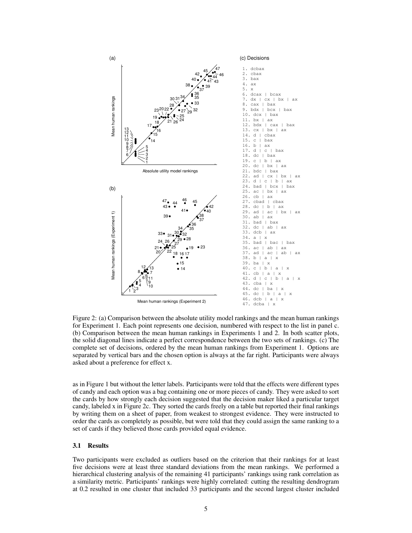

Figure 2: (a) Comparison between the absolute utility model rankings and the mean human rankings for Experiment 1. Each point represents one decision, numbered with respect to the list in panel c. (b) Comparison between the mean human rankings in Experiments 1 and 2. In both scatter plots, the solid diagonal lines indicate a perfect correspondence between the two sets of rankings. (c) The complete set of decisions, ordered by the mean human rankings from Experiment 1. Options are separated by vertical bars and the chosen option is always at the far right. Participants were always asked about a preference for effect x.

as in Figure 1 but without the letter labels. Participants were told that the effects were different types of candy and each option was a bag containing one or more pieces of candy. They were asked to sort the cards by how strongly each decision suggested that the decision maker liked a particular target candy, labeled x in Figure 2c. They sorted the cards freely on a table but reported their final rankings by writing them on a sheet of paper, from weakest to strongest evidence. They were instructed to order the cards as completely as possible, but were told that they could assign the same ranking to a set of cards if they believed those cards provided equal evidence.

#### 3.1 Results

Two participants were excluded as outliers based on the criterion that their rankings for at least five decisions were at least three standard deviations from the mean rankings. We performed a hierarchical clustering analysis of the remaining 41 participants' rankings using rank correlation as a similarity metric. Participants' rankings were highly correlated: cutting the resulting dendrogram at 0.2 resulted in one cluster that included 33 participants and the second largest cluster included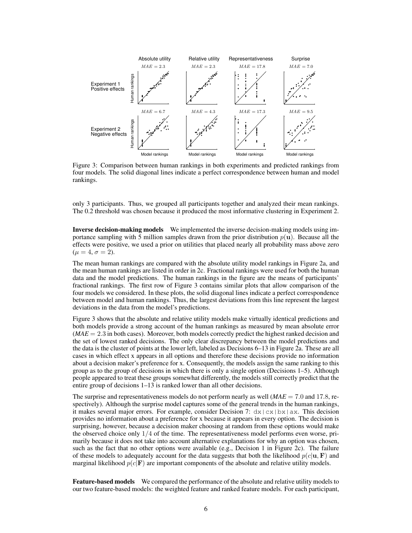

Figure 3: Comparison between human rankings in both experiments and predicted rankings from four models. The solid diagonal lines indicate a perfect correspondence between human and model rankings.

only 3 participants. Thus, we grouped all participants together and analyzed their mean rankings. The 0.2 threshold was chosen because it produced the most informative clustering in Experiment 2.

Inverse decision-making models We implemented the inverse decision-making models using importance sampling with 5 million samples drawn from the prior distribution  $p(\mathbf{u})$ . Because all the effects were positive, we used a prior on utilities that placed nearly all probability mass above zero  $(\mu = 4, \sigma = 2).$ 

The mean human rankings are compared with the absolute utility model rankings in Figure 2a, and the mean human rankings are listed in order in 2c. Fractional rankings were used for both the human data and the model predictions. The human rankings in the figure are the means of participants' fractional rankings. The first row of Figure 3 contains similar plots that allow comparison of the four models we considered. In these plots, the solid diagonal lines indicate a perfect correspondence between model and human rankings. Thus, the largest deviations from this line represent the largest deviations in the data from the model's predictions.

Figure 3 shows that the absolute and relative utility models make virtually identical predictions and both models provide a strong account of the human rankings as measured by mean absolute error  $(MAE = 2.3$  in both cases). Moreover, both models correctly predict the highest ranked decision and the set of lowest ranked decisions. The only clear discrepancy between the model predictions and the data is the cluster of points at the lower left, labeled as Decisions 6–13 in Figure 2a. These are all cases in which effect x appears in all options and therefore these decisions provide no information about a decision maker's preference for x. Consequently, the models assign the same ranking to this group as to the group of decisions in which there is only a single option (Decisions 1–5). Although people appeared to treat these groups somewhat differently, the models still correctly predict that the entire group of decisions 1–13 is ranked lower than all other decisions.

The surprise and representativeness models do not perform nearly as well (*MAE* = 7.0 and 17.8, respectively). Although the surprise model captures some of the general trends in the human rankings, it makes several major errors. For example, consider Decision 7:  $dx \, | \, cx \, | \, bx \, | \, ax$ . This decision provides no information about a preference for x because it appears in every option. The decision is surprising, however, because a decision maker choosing at random from these options would make the observed choice only  $1/4$  of the time. The representativeness model performs even worse, primarily because it does not take into account alternative explanations for why an option was chosen, such as the fact that no other options were available (e.g., Decision 1 in Figure 2c). The failure of these models to adequately account for the data suggests that both the likelihood  $p(c|\mathbf{u}, \mathbf{F})$  and marginal likelihood  $p(c|F)$  are important components of the absolute and relative utility models.

Feature-based models We compared the performance of the absolute and relative utility models to our two feature-based models: the weighted feature and ranked feature models. For each participant,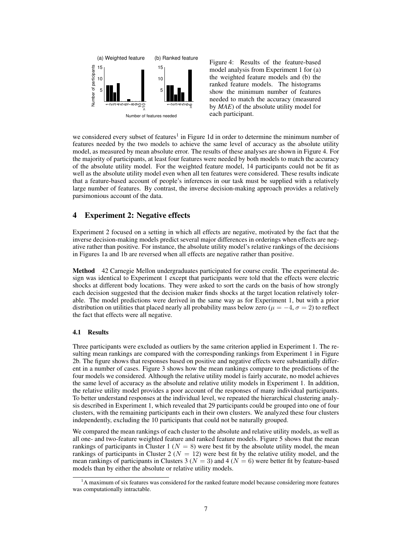

Figure 4: Results of the feature-based model analysis from Experiment 1 for (a) the weighted feature models and (b) the ranked feature models. The histograms show the minimum number of features needed to match the accuracy (measured by *MAE*) of the absolute utility model for each participant.

we considered every subset of features<sup>1</sup> in Figure 1d in order to determine the minimum number of features needed by the two models to achieve the same level of accuracy as the absolute utility model, as measured by mean absolute error. The results of these analyses are shown in Figure 4. For the majority of participants, at least four features were needed by both models to match the accuracy of the absolute utility model. For the weighted feature model, 14 participants could not be fit as well as the absolute utility model even when all ten features were considered. These results indicate that a feature-based account of people's inferences in our task must be supplied with a relatively large number of features. By contrast, the inverse decision-making approach provides a relatively parsimonious account of the data.

# 4 Experiment 2: Negative effects

Experiment 2 focused on a setting in which all effects are negative, motivated by the fact that the inverse decision-making models predict several major differences in orderings when effects are negative rather than positive. For instance, the absolute utility model's relative rankings of the decisions in Figures 1a and 1b are reversed when all effects are negative rather than positive.

Method 42 Carnegie Mellon undergraduates participated for course credit. The experimental design was identical to Experiment 1 except that participants were told that the effects were electric shocks at different body locations. They were asked to sort the cards on the basis of how strongly each decision suggested that the decision maker finds shocks at the target location relatively tolerable. The model predictions were derived in the same way as for Experiment 1, but with a prior distribution on utilities that placed nearly all probability mass below zero ( $\mu = -4$ ,  $\sigma = 2$ ) to reflect the fact that effects were all negative.

#### 4.1 Results

Three participants were excluded as outliers by the same criterion applied in Experiment 1. The resulting mean rankings are compared with the corresponding rankings from Experiment 1 in Figure 2b. The figure shows that responses based on positive and negative effects were substantially different in a number of cases. Figure 3 shows how the mean rankings compare to the predictions of the four models we considered. Although the relative utility model is fairly accurate, no model achieves the same level of accuracy as the absolute and relative utility models in Experiment 1. In addition, the relative utility model provides a poor account of the responses of many individual participants. To better understand responses at the individual level, we repeated the hierarchical clustering analysis described in Experiment 1, which revealed that 29 participants could be grouped into one of four clusters, with the remaining participants each in their own clusters. We analyzed these four clusters independently, excluding the 10 participants that could not be naturally grouped.

We compared the mean rankings of each cluster to the absolute and relative utility models, as well as all one- and two-feature weighted feature and ranked feature models. Figure 5 shows that the mean rankings of participants in Cluster 1 ( $N = 8$ ) were best fit by the absolute utility model, the mean rankings of participants in Cluster 2 ( $N = 12$ ) were best fit by the relative utility model, and the mean rankings of participants in Clusters 3 ( $N = 3$ ) and 4 ( $N = 6$ ) were better fit by feature-based models than by either the absolute or relative utility models.

<sup>&</sup>lt;sup>1</sup>A maximum of six features was considered for the ranked feature model because considering more features was computationally intractable.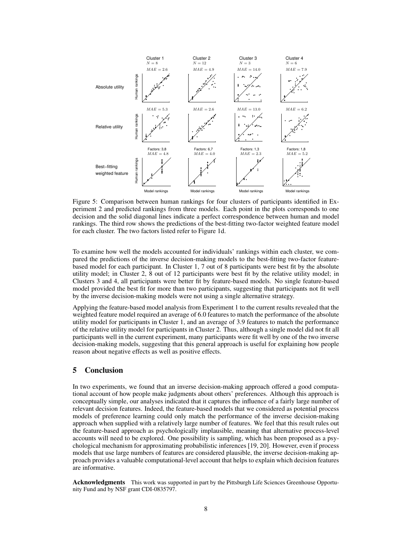

Figure 5: Comparison between human rankings for four clusters of participants identified in Experiment 2 and predicted rankings from three models. Each point in the plots corresponds to one decision and the solid diagonal lines indicate a perfect correspondence between human and model rankings. The third row shows the predictions of the best-fitting two-factor weighted feature model for each cluster. The two factors listed refer to Figure 1d.

To examine how well the models accounted for individuals' rankings within each cluster, we compared the predictions of the inverse decision-making models to the best-fitting two-factor featurebased model for each participant. In Cluster 1, 7 out of 8 participants were best fit by the absolute utility model; in Cluster 2, 8 out of 12 participants were best fit by the relative utility model; in Clusters 3 and 4, all participants were better fit by feature-based models. No single feature-based model provided the best fit for more than two participants, suggesting that participants not fit well by the inverse decision-making models were not using a single alternative strategy.

Applying the feature-based model analysis from Experiment 1 to the current results revealed that the weighted feature model required an average of 6.0 features to match the performance of the absolute utility model for participants in Cluster 1, and an average of 3.9 features to match the performance of the relative utility model for participants in Cluster 2. Thus, although a single model did not fit all participants well in the current experiment, many participants were fit well by one of the two inverse decision-making models, suggesting that this general approach is useful for explaining how people reason about negative effects as well as positive effects.

## 5 Conclusion

In two experiments, we found that an inverse decision-making approach offered a good computational account of how people make judgments about others' preferences. Although this approach is conceptually simple, our analyses indicated that it captures the influence of a fairly large number of relevant decision features. Indeed, the feature-based models that we considered as potential process models of preference learning could only match the performance of the inverse decision-making approach when supplied with a relatively large number of features. We feel that this result rules out the feature-based approach as psychologically implausible, meaning that alternative process-level accounts will need to be explored. One possibility is sampling, which has been proposed as a psychological mechanism for approximating probabilistic inferences [19, 20]. However, even if process models that use large numbers of features are considered plausible, the inverse decision-making approach provides a valuable computational-level account that helps to explain which decision features are informative.

Acknowledgments This work was supported in part by the Pittsburgh Life Sciences Greenhouse Opportunity Fund and by NSF grant CDI-0835797.